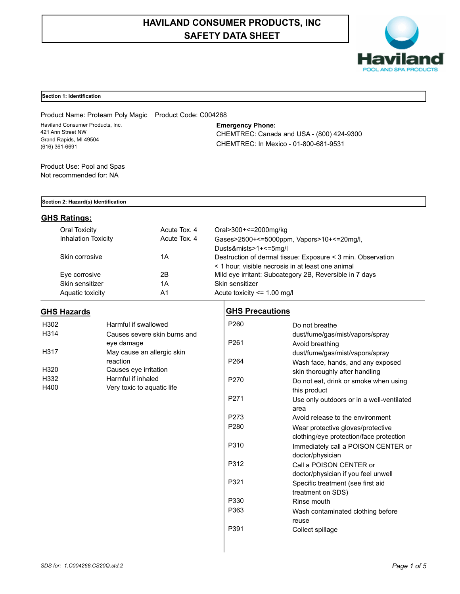# **HAVILAND CONSUMER PRODUCTS, INC SAFETY DATA SHEET**



## **Section 1: Identification**

Product Name: Proteam Poly Magic Product Code: C004268 Haviland Consumer Products, Inc. 421 Ann Street NW Grand Rapids, MI 49504 (616) 361-6691

## **Emergency Phone:**

CHEMTREC: Canada and USA - (800) 424-9300 CHEMTREC: In Mexico - 01-800-681-9531

Product Use: Pool and Spas Not recommended for: NA

### **Section 2: Hazard(s) Identification**

## **GHS Ratings:**

| Oral Toxicity              | Acute Tox, 4 | Oral>300+<=2000mg/kg                                        |
|----------------------------|--------------|-------------------------------------------------------------|
| <b>Inhalation Toxicity</b> | Acute Tox, 4 | Gases>2500+<=5000ppm, Vapors>10+<=20mg/l,                   |
|                            |              | Dusts&mists>1+<=5mg/l                                       |
| Skin corrosive             | 1Α           | Destruction of dermal tissue: Exposure < 3 min. Observation |
|                            |              | < 1 hour, visible necrosis in at least one animal           |
| Eye corrosive              | 2Β           | Mild eye irritant: Subcategory 2B, Reversible in 7 days     |
| Skin sensitizer            | 1Α           | Skin sensitizer                                             |
| Aquatic toxicity           | A1           | Acute toxicity $\leq$ 1.00 mg/l                             |

## **GHS Hazards**

| H302 | Harmful if swallowed         |
|------|------------------------------|
| H314 | Causes severe skin burns and |
|      | eye damage                   |
| H317 | May cause an allergic skin   |
|      | reaction                     |
| H320 | Causes eye irritation        |
| H332 | Harmful if inhaled           |
| H400 | Very toxic to aquatic life   |

## **GHS Precautions**

| P <sub>261</sub><br>Avoid breathing<br>dust/fume/gas/mist/vapors/spray<br>P <sub>264</sub><br>Wash face, hands, and any exposed<br>skin thoroughly after handling<br>P <sub>270</sub><br>Do not eat, drink or smoke when using<br>this product<br>P <sub>271</sub><br>Use only outdoors or in a well-ventilated<br>area<br>P273<br>Avoid release to the environment<br>P <sub>280</sub><br>Wear protective gloves/protective<br>clothing/eye protection/face protection | P <sub>260</sub> | Do not breathe                      |  |  |
|-------------------------------------------------------------------------------------------------------------------------------------------------------------------------------------------------------------------------------------------------------------------------------------------------------------------------------------------------------------------------------------------------------------------------------------------------------------------------|------------------|-------------------------------------|--|--|
|                                                                                                                                                                                                                                                                                                                                                                                                                                                                         |                  | dust/fume/gas/mist/vapors/spray     |  |  |
|                                                                                                                                                                                                                                                                                                                                                                                                                                                                         |                  |                                     |  |  |
|                                                                                                                                                                                                                                                                                                                                                                                                                                                                         |                  |                                     |  |  |
|                                                                                                                                                                                                                                                                                                                                                                                                                                                                         |                  |                                     |  |  |
|                                                                                                                                                                                                                                                                                                                                                                                                                                                                         |                  |                                     |  |  |
|                                                                                                                                                                                                                                                                                                                                                                                                                                                                         |                  |                                     |  |  |
|                                                                                                                                                                                                                                                                                                                                                                                                                                                                         |                  |                                     |  |  |
|                                                                                                                                                                                                                                                                                                                                                                                                                                                                         |                  |                                     |  |  |
|                                                                                                                                                                                                                                                                                                                                                                                                                                                                         |                  |                                     |  |  |
|                                                                                                                                                                                                                                                                                                                                                                                                                                                                         |                  |                                     |  |  |
|                                                                                                                                                                                                                                                                                                                                                                                                                                                                         |                  |                                     |  |  |
|                                                                                                                                                                                                                                                                                                                                                                                                                                                                         |                  |                                     |  |  |
|                                                                                                                                                                                                                                                                                                                                                                                                                                                                         | P310             | Immediately call a POISON CENTER or |  |  |
| doctor/physician                                                                                                                                                                                                                                                                                                                                                                                                                                                        |                  |                                     |  |  |
| P312<br>Call a POISON CENTER or                                                                                                                                                                                                                                                                                                                                                                                                                                         |                  |                                     |  |  |
| doctor/physician if you feel unwell                                                                                                                                                                                                                                                                                                                                                                                                                                     |                  |                                     |  |  |
| P321<br>Specific treatment (see first aid                                                                                                                                                                                                                                                                                                                                                                                                                               |                  |                                     |  |  |
| treatment on SDS)                                                                                                                                                                                                                                                                                                                                                                                                                                                       |                  |                                     |  |  |
| P330<br>Rinse mouth                                                                                                                                                                                                                                                                                                                                                                                                                                                     |                  |                                     |  |  |
| P363                                                                                                                                                                                                                                                                                                                                                                                                                                                                    |                  |                                     |  |  |
| Wash contaminated clothing before                                                                                                                                                                                                                                                                                                                                                                                                                                       |                  |                                     |  |  |
| reuse                                                                                                                                                                                                                                                                                                                                                                                                                                                                   |                  |                                     |  |  |
| P391<br>Collect spillage                                                                                                                                                                                                                                                                                                                                                                                                                                                |                  |                                     |  |  |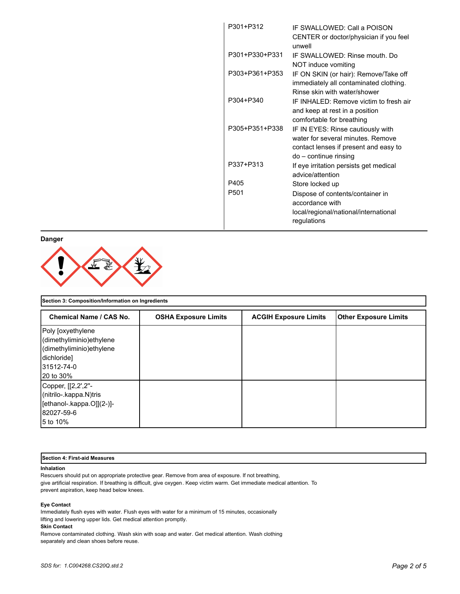| P301+P312        | IF SWALLOWED: Call a POISON<br>CENTER or doctor/physician if you feel<br>unwell                                                          |
|------------------|------------------------------------------------------------------------------------------------------------------------------------------|
| P301+P330+P331   | IF SWALLOWED: Rinse mouth. Do<br>NOT induce vomiting                                                                                     |
| P303+P361+P353   | IF ON SKIN (or hair): Remove/Take off<br>immediately all contaminated clothing.<br>Rinse skin with water/shower                          |
| P304+P340        | IF INHAI FD: Remove victim to fresh air<br>and keep at rest in a position<br>comfortable for breathing                                   |
| P305+P351+P338   | IF IN EYES: Rinse cautiously with<br>water for several minutes. Remove<br>contact lenses if present and easy to<br>do – continue rinsing |
| P337+P313        | If eye irritation persists get medical<br>advice/attention                                                                               |
| P405             | Store locked up                                                                                                                          |
| P <sub>501</sub> | Dispose of contents/container in<br>accordance with<br>local/regional/national/international<br>regulations                              |

**Danger**



| <b>Chemical Name / CAS No.</b>                                                                                         | <b>OSHA Exposure Limits</b> | <b>ACGIH Exposure Limits</b> | <b>Other Exposure Limits</b> |
|------------------------------------------------------------------------------------------------------------------------|-----------------------------|------------------------------|------------------------------|
| Poly [oxyethylene<br>(dimethyliminio) ethylene<br>(dimethyliminio) ethylene<br>dichloridel<br>31512-74-0<br>120 to 30% |                             |                              |                              |
| Copper, [[2,2',2"-<br>(nitrilo-.kappa.N)tris<br>[ethanol-.kappa.O]](2-)]-<br>82027-59-6<br>15 to 10%                   |                             |                              |                              |

## **Section 4: First-aid Measures**

#### **Inhalation**

Rescuers should put on appropriate protective gear. Remove from area of exposure. If not breathing, give artificial respiration. If breathing is difficult, give oxygen. Keep victim warm. Get immediate medical attention. To prevent aspiration, keep head below knees.

#### **Eye Contact**

Immediately flush eyes with water. Flush eyes with water for a minimum of 15 minutes, occasionally lifting and lowering upper lids. Get medical attention promptly.

#### **Skin Contact**

Remove contaminated clothing. Wash skin with soap and water. Get medical attention. Wash clothing separately and clean shoes before reuse.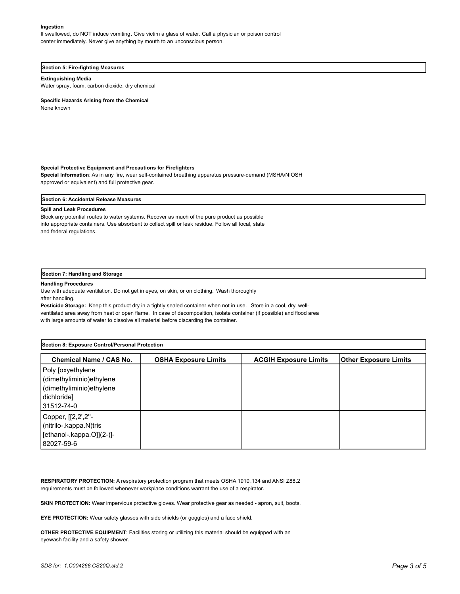#### **Ingestion**

If swallowed, do NOT induce vomiting. Give victim a glass of water. Call a physician or poison control center immediately. Never give anything by mouth to an unconscious person.

#### **Section 5: Fire-fighting Measures**

#### **Extinguishing Media**

Water spray, foam, carbon dioxide, dry chemical

**Specific Hazards Arising from the Chemical**

None known

#### **Special Protective Equipment and Precautions for Firefighters**

**Special Information**: As in any fire, wear self-contained breathing apparatus pressure-demand (MSHA/NIOSH approved or equivalent) and full protective gear.

#### **Section 6: Accidental Release Measures**

#### **Spill and Leak Procedures**

Block any potential routes to water systems. Recover as much of the pure product as possible into appropriate containers. Use absorbent to collect spill or leak residue. Follow all local, state and federal regulations.

#### **Section 7: Handling and Storage**

#### **Handling Procedures**

Use with adequate ventilation. Do not get in eyes, on skin, or on clothing. Wash thoroughly

after handling.

**Pesticide Storage:** Keep this product dry in a tightly sealed container when not in use. Store in a cool, dry, wellventilated area away from heat or open flame. In case of decomposition, isolate container (if possible) and flood area with large amounts of water to dissolve all material before discarding the container.

| Section 8: Exposure Control/Personal Protection                                                        |                             |                              |                              |  |  |
|--------------------------------------------------------------------------------------------------------|-----------------------------|------------------------------|------------------------------|--|--|
| Chemical Name / CAS No.                                                                                | <b>OSHA Exposure Limits</b> | <b>ACGIH Exposure Limits</b> | <b>Other Exposure Limits</b> |  |  |
| Poly [oxyethylene<br>dimethyliminio) ethylene<br>dimethyliminio) ethylene<br>dichloride]<br>31512-74-0 |                             |                              |                              |  |  |
| Copper, [[2,2',2"-<br>(nitrilo-.kappa.N)tris<br>[ethanol-.kappa.O]](2-)]-<br>82027-59-6                |                             |                              |                              |  |  |

**RESPIRATORY PROTECTION:** A respiratory protection program that meets OSHA 1910.134 and ANSI Z88.2 requirements must be followed whenever workplace conditions warrant the use of a respirator.

**SKIN PROTECTION:** Wear impervious protective gloves. Wear protective gear as needed - apron, suit, boots.

**EYE PROTECTION:** Wear safety glasses with side shields (or goggles) and a face shield.

**OTHER PROTECTIVE EQUIPMENT**: Facilities storing or utilizing this material should be equipped with an eyewash facility and a safety shower.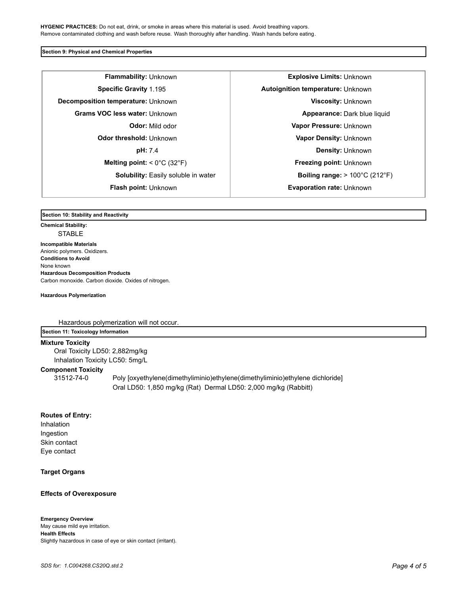**HYGENIC PRACTICES:** Do not eat, drink, or smoke in areas where this material is used. Avoid breathing vapors. Remove contaminated clothing and wash before reuse. Wash thoroughly after handling. Wash hands before eating.

#### **Section 9: Physical and Chemical Properties**

**Flammability:** Unknown **Explosive Limits:** Unknown **Specific Gravity** 1.195 **Autoignition temperature:** Unknown **Decomposition temperature:** Unknown **Viscosity: Unknown Grams VOC less water:** Unknown **Appearance:** Dark blue liquid **Odor threshold:** Unknown **Vapor Density:** Unknown **Melting point:** < 0°C (32°F) **Freezing point:** Unknown

**Odor:** Mild odor **Vapor Pressure:** Unknown **pH:** 7.4 **Density:** Unknown **Solubility:** Easily soluble in water  $\vert$  **Boiling range:** > 100°C (212°F) **Flash point:** Unknown **Evaporation rate:** Unknown

#### **Section 10: Stability and Reactivity**

**Chemical Stability: STABLE Incompatible Materials**  Anionic polymers. Oxidizers. **Conditions to Avoid** None known **Hazardous Decomposition Products** Carbon monoxide. Carbon dioxide. Oxides of nitrogen.

**Hazardous Polymerization**

Hazardous polymerization will not occur.

## **Section 11: Toxicology Information**

**Mixture Toxicity**

Oral Toxicity LD50: 2,882mg/kg Inhalation Toxicity LC50: 5mg/L

## **Component Toxicity**

31512-74-0 Poly [oxyethylene(dimethyliminio)ethylene(dimethyliminio)ethylene dichloride] Oral LD50: 1,850 mg/kg (Rat) Dermal LD50: 2,000 mg/kg (Rabbitt)

### **Routes of Entry:**

Inhalation Ingestion Skin contact Eye contact

## **Target Organs**

## **Effects of Overexposure**

#### **Emergency Overview**

May cause mild eye irritation. **Health Effects** Slightly hazardous in case of eye or skin contact (irritant).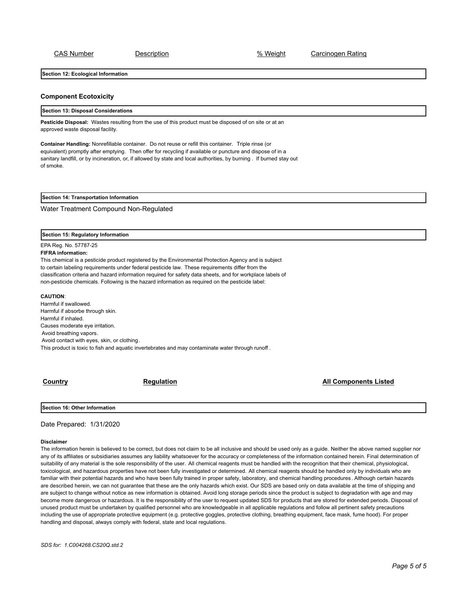CAS Number Description % Weight Carcinogen Rating

**Section 12: Ecological Information**

#### **Component Ecotoxicity**

#### **Section 13: Disposal Considerations**

**Pesticide Disposal:** Wastes resulting from the use of this product must be disposed of on site or at an approved waste disposal facility.

**Container Handling:** Nonrefillable container. Do not reuse or refill this container. Triple rinse (or equivalent) promptly after emptying. Then offer for recycling if available or puncture and dispose of in a sanitary landfill, or by incineration, or, if allowed by state and local authorities, by burning . If burned stay out of smoke.

**Section 14: Transportation Information**

Water Treatment Compound Non-Regulated

**Section 15: Regulatory Information**

### EPA Reg. No. 57787-25

#### **FIFRA information:**

This chemical is a pesticide product registered by the Environmental Protection Agency and is subject to certain labeling requirements under federal pesticide law. These requirements differ from the classification criteria and hazard information required for safety data sheets, and for workplace labels of non-pesticide chemicals. Following is the hazard information as required on the pesticide label:

#### **CAUTION**:

Harmful if swallowed. Harmful if absorbe through skin. Harmful if inhaled. Causes moderate eye irritation. Avoid breathing vapors. Avoid contact with eyes, skin, or clothing. This product is toxic to fish and aquatic invertebrates and may contaminate water through runoff .

**Country Country Country Regulation Regulation Country All Components Listed** 

**Section 16: Other Information**

Date Prepared: 1/31/2020

#### **Disclaimer**

The information herein is believed to be correct, but does not claim to be all inclusive and should be used only as a guide. Neither the above named supplier nor any of its affiliates or subsidiaries assumes any liability whatsoever for the accuracy or completeness of the information contained herein. Final determination of suitability of any material is the sole responsibility of the user. All chemical reagents must be handled with the recognition that their chemical, physiological, toxicological, and hazardous properties have not been fully investigated or determined. All chemical reagents should be handled only by individuals who are familiar with their potential hazards and who have been fully trained in proper safety, laboratory, and chemical handling procedures . Although certain hazards are described herein, we can not guarantee that these are the only hazards which exist. Our SDS are based only on data available at the time of shipping and are subject to change without notice as new information is obtained. Avoid long storage periods since the product is subject to degradation with age and may become more dangerous or hazardous. It is the responsibility of the user to request updated SDS for products that are stored for extended periods. Disposal of unused product must be undertaken by qualified personnel who are knowledgeable in all applicable regulations and follow all pertinent safety precautions including the use of appropriate protective equipment (e.g. protective goggles, protective clothing, breathing equipment, face mask, fume hood). For proper handling and disposal, always comply with federal, state and local regulations.